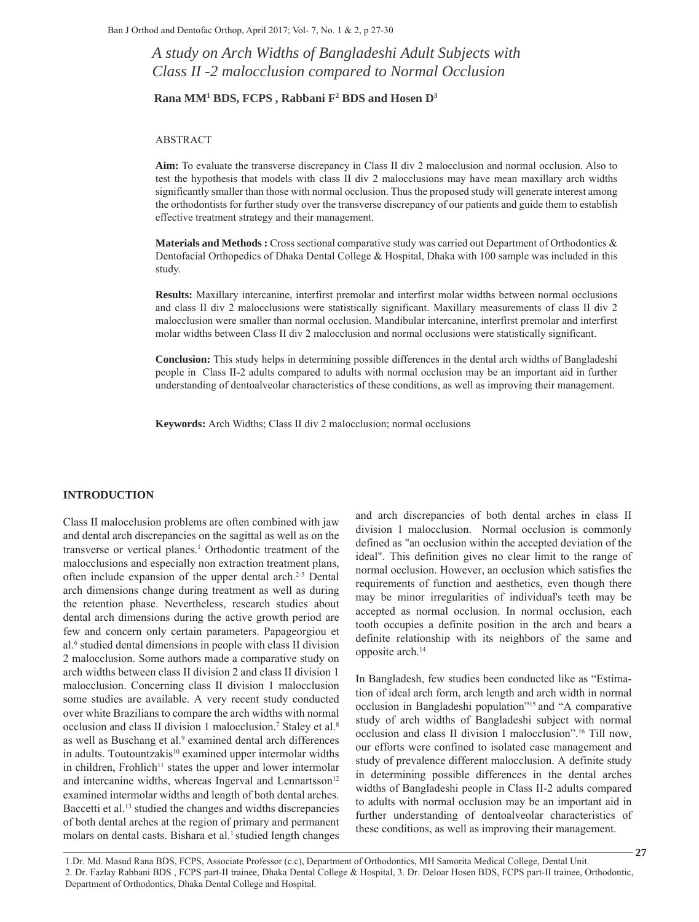*A study on Arch Widths of Bangladeshi Adult Subjects with Class II -2 malocclusion compared to Normal Occlusion*

#### **Rana MM1 BDS, FCPS , Rabbani F2 BDS and Hosen D3**

## ABSTRACT

**Aim:** To evaluate the transverse discrepancy in Class II div 2 malocclusion and normal occlusion. Also to test the hypothesis that models with class II div 2 malocclusions may have mean maxillary arch widths significantly smaller than those with normal occlusion. Thus the proposed study will generate interest among the orthodontists for further study over the transverse discrepancy of our patients and guide them to establish effective treatment strategy and their management.

**Materials and Methods :** Cross sectional comparative study was carried out Department of Orthodontics & Dentofacial Orthopedics of Dhaka Dental College & Hospital, Dhaka with 100 sample was included in this study.

**Results:** Maxillary intercanine, interfirst premolar and interfirst molar widths between normal occlusions and class II div 2 malocclusions were statistically significant. Maxillary measurements of class II div 2 malocclusion were smaller than normal occlusion. Mandibular intercanine, interfirst premolar and interfirst molar widths between Class II div 2 malocclusion and normal occlusions were statistically significant.

**Conclusion:** This study helps in determining possible differences in the dental arch widths of Bangladeshi people in Class II-2 adults compared to adults with normal occlusion may be an important aid in further understanding of dentoalveolar characteristics of these conditions, as well as improving their management.

**Keywords:** Arch Widths; Class II div 2 malocclusion; normal occlusions

#### **INTRODUCTION**

Class II malocclusion problems are often combined with jaw and dental arch discrepancies on the sagittal as well as on the transverse or vertical planes.<sup>1</sup> Orthodontic treatment of the malocclusions and especially non extraction treatment plans, often include expansion of the upper dental arch.2-5 Dental arch dimensions change during treatment as well as during the retention phase. Nevertheless, research studies about dental arch dimensions during the active growth period are few and concern only certain parameters. Papageorgiou et al.6 studied dental dimensions in people with class II division 2 malocclusion. Some authors made a comparative study on arch widths between class II division 2 and class II division 1 malocclusion. Concerning class II division 1 malocclusion some studies are available. A very recent study conducted over white Brazilians to compare the arch widths with normal occlusion and class II division 1 malocclusion.<sup>7</sup> Staley et al.<sup>8</sup> as well as Buschang et al.<sup>9</sup> examined dental arch differences in adults. Toutountzakis<sup>10</sup> examined upper intermolar widths in children, Frohlich<sup> $11$ </sup> states the upper and lower intermolar and intercanine widths, whereas Ingerval and Lennartsson<sup>12</sup> examined intermolar widths and length of both dental arches. Baccetti et al.<sup>13</sup> studied the changes and widths discrepancies of both dental arches at the region of primary and permanent molars on dental casts. Bishara et al.<sup>1</sup> studied length changes

and arch discrepancies of both dental arches in class II division 1 malocclusion. Normal occlusion is commonly defined as "an occlusion within the accepted deviation of the ideal". This definition gives no clear limit to the range of normal occlusion. However, an occlusion which satisfies the requirements of function and aesthetics, even though there may be minor irregularities of individual's teeth may be accepted as normal occlusion. In normal occlusion, each tooth occupies a definite position in the arch and bears a definite relationship with its neighbors of the same and opposite arch.14

In Bangladesh, few studies been conducted like as "Estimation of ideal arch form, arch length and arch width in normal occlusion in Bangladeshi population"15 and "A comparative study of arch widths of Bangladeshi subject with normal occlusion and class II division I malocclusion".16 Till now, our efforts were confined to isolated case management and study of prevalence different malocclusion. A definite study in determining possible differences in the dental arches widths of Bangladeshi people in Class II-2 adults compared to adults with normal occlusion may be an important aid in further understanding of dentoalveolar characteristics of these conditions, as well as improving their management.

1.Dr. Md. Masud Rana BDS, FCPS, Associate Professor (c.c), Department of Orthodontics, MH Samorita Medical College, Dental Unit. 2. Dr. Fazlay Rabbani BDS , FCPS part-ІІ trainee, Dhaka Dental College & Hospital, 3. Dr. Deloar Hosen BDS, FCPS part-ІІ trainee, Orthodontic, Department of Orthodontics, Dhaka Dental College and Hospital.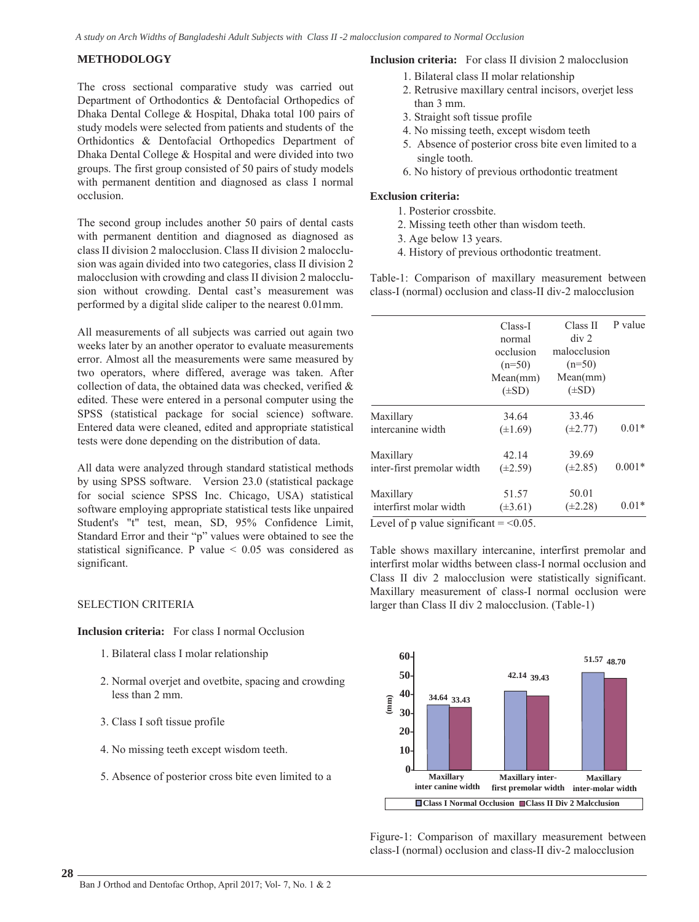### **METHODOLOGY**

The cross sectional comparative study was carried out Department of Orthodontics & Dentofacial Orthopedics of Dhaka Dental College & Hospital, Dhaka total 100 pairs of study models were selected from patients and students of the Orthidontics & Dentofacial Orthopedics Department of Dhaka Dental College & Hospital and were divided into two groups. The first group consisted of 50 pairs of study models with permanent dentition and diagnosed as class I normal occlusion.

The second group includes another 50 pairs of dental casts with permanent dentition and diagnosed as diagnosed as class II division 2 malocclusion. Class II division 2 malocclusion was again divided into two categories, class II division 2 malocclusion with crowding and class II division 2 malocclusion without crowding. Dental cast's measurement was performed by a digital slide caliper to the nearest 0.01mm.

All measurements of all subjects was carried out again two weeks later by an another operator to evaluate measurements error. Almost all the measurements were same measured by two operators, where differed, average was taken. After collection of data, the obtained data was checked, verified & edited. These were entered in a personal computer using the SPSS (statistical package for social science) software. Entered data were cleaned, edited and appropriate statistical tests were done depending on the distribution of data.

All data were analyzed through standard statistical methods by using SPSS software. Version 23.0 (statistical package for social science SPSS Inc. Chicago, USA) statistical software employing appropriate statistical tests like unpaired Student's "t" test, mean, SD, 95% Confidence Limit, Standard Error and their "p" values were obtained to see the statistical significance. P value < 0.05 was considered as significant.

# SELECTION CRITERIA

**Inclusion criteria:** For class I normal Occlusion

- 1. Bilateral class I molar relationship
- 2. Normal overjet and ovetbite, spacing and crowding less than 2 mm.
- 3. Class I soft tissue profile
- 4. No missing teeth except wisdom teeth.
- 5. Absence of posterior cross bite even limited to a

## **Inclusion criteria:** For class II division 2 malocclusion

- 1. Bilateral class II molar relationship
- 2. Retrusive maxillary central incisors, overjet less than 3 mm.
- 3. Straight soft tissue profile
- 4. No missing teeth, except wisdom teeth
- 5. Absence of posterior cross bite even limited to a single tooth.
- 6. No history of previous orthodontic treatment

### **Exclusion criteria:**

- 1. Posterior crossbite.
- 2. Missing teeth other than wisdom teeth.
- 3. Age below 13 years.
- 4. History of previous orthodontic treatment.

Table-1: Comparison of maxillary measurement between class-I (normal) occlusion and class-II div-2 malocclusion

|                            | Class-I<br>normal<br>occlusion<br>$(n=50)$<br>Mean(mm)<br>$(\pm SD)$ | Class II<br>div 2<br>malocclusion<br>$(n=50)$<br>Mean(mm)<br>$(\pm SD)$ | P value  |
|----------------------------|----------------------------------------------------------------------|-------------------------------------------------------------------------|----------|
| Maxillary                  | 34.64                                                                | 33.46                                                                   | $0.01*$  |
| intercanine width          | $(\pm 1.69)$                                                         | $(\pm 2.77)$                                                            |          |
| Maxillary                  | 42.14                                                                | 39.69                                                                   | $0.001*$ |
| inter-first premolar width | $(\pm 2.59)$                                                         | $(\pm 2.85)$                                                            |          |
| Maxillary                  | 51.57                                                                | 50.01                                                                   | $0.01*$  |
| interfirst molar width     | $(\pm 3.61)$                                                         | $(\pm 2.28)$                                                            |          |

Level of p value significant  $=$  <0.05.

Table shows maxillary intercanine, interfirst premolar and interfirst molar widths between class-I normal occlusion and Class II div 2 malocclusion were statistically significant. Maxillary measurement of class-I normal occlusion were larger than Class II div 2 malocclusion. (Table-1)



Figure-1: Comparison of maxillary measurement between class-I (normal) occlusion and class-II div-2 malocclusion

**28**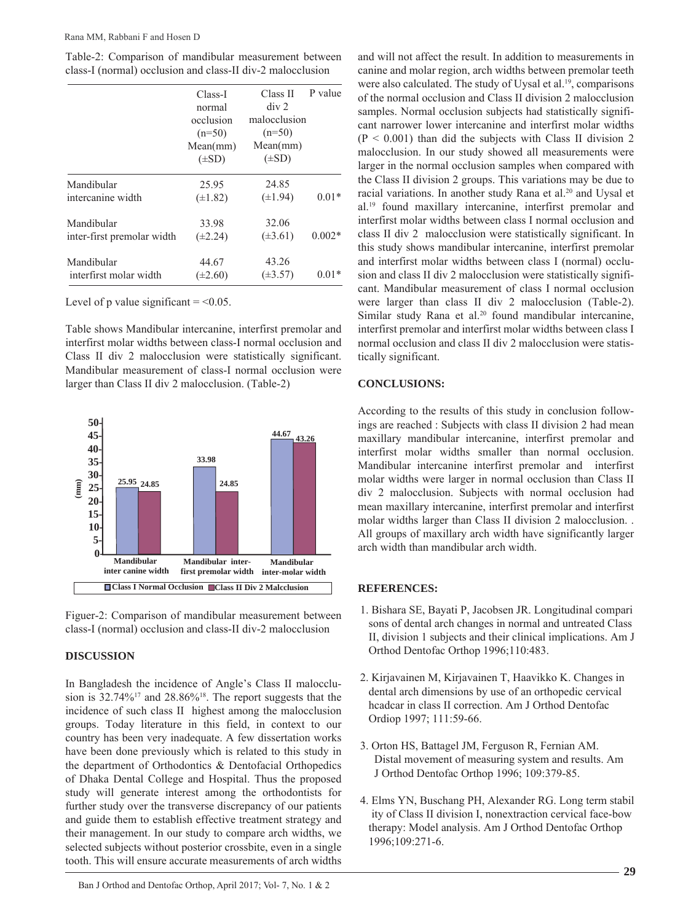|                            | Class-I<br>normal<br>occlusion<br>$(n=50)$<br>Mean(mm)<br>$(\pm SD)$ | Class II<br>div 2<br>malocclusion<br>$(n=50)$<br>Mean(mm)<br>$(\pm SD)$ | P value  |
|----------------------------|----------------------------------------------------------------------|-------------------------------------------------------------------------|----------|
|                            |                                                                      |                                                                         |          |
|                            |                                                                      |                                                                         |          |
|                            |                                                                      |                                                                         |          |
|                            |                                                                      |                                                                         |          |
| Mandibular                 | 25.95                                                                | 24.85                                                                   |          |
| intercanine width          | $(\pm 1.82)$                                                         | $(\pm 1.94)$                                                            | $0.01*$  |
| Mandibular                 | 33.98                                                                | 32.06                                                                   |          |
| inter-first premolar width | $(\pm 2.24)$                                                         | $(\pm 3.61)$                                                            | $0.002*$ |
| Mandibular                 | 44.67                                                                | 43.26                                                                   |          |
| interfirst molar width     | $(\pm 2.60)$                                                         | $(\pm 3.57)$                                                            | $(0.01*$ |

Table-2: Comparison of mandibular measurement between class-I (normal) occlusion and class-II div-2 malocclusion

Level of p value significant  $=$  <0.05.

Table shows Mandibular intercanine, interfirst premolar and interfirst molar widths between class-I normal occlusion and Class II div 2 malocclusion were statistically significant. Mandibular measurement of class-I normal occlusion were larger than Class II div 2 malocclusion. (Table-2)



Figuer-2: Comparison of mandibular measurement between class-I (normal) occlusion and class-II div-2 malocclusion

# **DISCUSSION**

In Bangladesh the incidence of Angle's Class II malocclusion is  $32.74\%^{17}$  and  $28.86\%^{18}$ . The report suggests that the incidence of such class II highest among the malocclusion groups. Today literature in this field, in context to our country has been very inadequate. A few dissertation works have been done previously which is related to this study in the department of Orthodontics & Dentofacial Orthopedics of Dhaka Dental College and Hospital. Thus the proposed study will generate interest among the orthodontists for further study over the transverse discrepancy of our patients and guide them to establish effective treatment strategy and their management. In our study to compare arch widths, we selected subjects without posterior crossbite, even in a single tooth. This will ensure accurate measurements of arch widths

Ban J Orthod and Dentofac Orthop, April 2017; Vol- 7, No. 1 & 2

and will not affect the result. In addition to measurements in canine and molar region, arch widths between premolar teeth were also calculated. The study of Uysal et al.<sup>19</sup>, comparisons of the normal occlusion and Class II division 2 malocclusion samples. Normal occlusion subjects had statistically significant narrower lower intercanine and interfirst molar widths  $(P < 0.001)$  than did the subjects with Class II division 2 malocclusion. In our study showed all measurements were larger in the normal occlusion samples when compared with the Class II division 2 groups. This variations may be due to racial variations. In another study Rana et al.20 and Uysal et al.19 found maxillary intercanine, interfirst premolar and interfirst molar widths between class I normal occlusion and class II div 2 malocclusion were statistically significant. In this study shows mandibular intercanine, interfirst premolar and interfirst molar widths between class I (normal) occlusion and class II div 2 malocclusion were statistically significant. Mandibular measurement of class I normal occlusion were larger than class II div 2 malocclusion (Table-2). Similar study Rana et al.<sup>20</sup> found mandibular intercanine, interfirst premolar and interfirst molar widths between class I normal occlusion and class II div 2 malocclusion were statistically significant.

### **CONCLUSIONS:**

According to the results of this study in conclusion followings are reached : Subjects with class II division 2 had mean maxillary mandibular intercanine, interfirst premolar and interfirst molar widths smaller than normal occlusion. Mandibular intercanine interfirst premolar and interfirst molar widths were larger in normal occlusion than Class II div 2 malocclusion. Subjects with normal occlusion had mean maxillary intercanine, interfirst premolar and interfirst molar widths larger than Class II division 2 malocclusion. . All groups of maxillary arch width have significantly larger arch width than mandibular arch width.

# **REFERENCES:**

- 1. Bishara SE, Bayati P, Jacobsen JR. Longitudinal compari sons of dental arch changes in normal and untreated Class II, division 1 subjects and their clinical implications. Am J Orthod Dentofac Orthop 1996;110:483.
- 2. Kirjavainen M, Kirjavainen T, Haavikko K. Changes in dental arch dimensions by use of an orthopedic cervical hcadcar in class II correction. Am J Orthod Dentofac Ordiop 1997; 111:59-66.
- 3. Orton HS, Battagel JM, Ferguson R, Fernian AM. Distal movement of measuring system and results. Am J Orthod Dentofac Orthop 1996; 109:379-85.
- 4. Elms YN, Buschang PH, Alexander RG. Long term stabil ity of Class II division I, nonextraction cervical face-bow therapy: Model analysis. Am J Orthod Dentofac Orthop 1996;109:271-6.